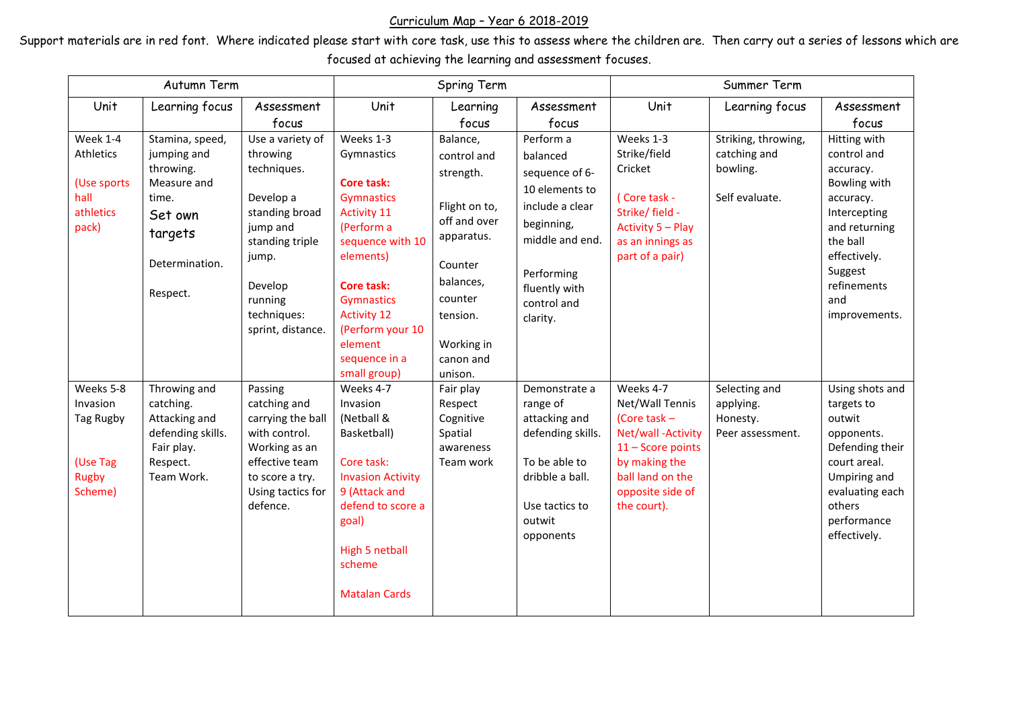## Curriculum Map – Year 6 2018-2019

Support materials are in red font. Where indicated please start with core task, use this to assess where the children are. Then carry out a series of lessons which are focused at achieving the learning and assessment focuses.

| Autumn Term                                                               |                                                                                                                         |                                                                                                                                                                              | Spring Term                                                                                                                                                                                                                                       |                                                                                                                                                                          |                                                                                                                                                                         | Summer Term                                                                                                                                                      |                                                                   |                                                                                                                                                                                      |  |
|---------------------------------------------------------------------------|-------------------------------------------------------------------------------------------------------------------------|------------------------------------------------------------------------------------------------------------------------------------------------------------------------------|---------------------------------------------------------------------------------------------------------------------------------------------------------------------------------------------------------------------------------------------------|--------------------------------------------------------------------------------------------------------------------------------------------------------------------------|-------------------------------------------------------------------------------------------------------------------------------------------------------------------------|------------------------------------------------------------------------------------------------------------------------------------------------------------------|-------------------------------------------------------------------|--------------------------------------------------------------------------------------------------------------------------------------------------------------------------------------|--|
| Unit                                                                      | Learning focus                                                                                                          | Assessment                                                                                                                                                                   | Unit                                                                                                                                                                                                                                              | Learning                                                                                                                                                                 | Assessment                                                                                                                                                              | Unit                                                                                                                                                             | Learning focus                                                    | Assessment                                                                                                                                                                           |  |
|                                                                           |                                                                                                                         | focus                                                                                                                                                                        |                                                                                                                                                                                                                                                   | focus                                                                                                                                                                    | focus                                                                                                                                                                   |                                                                                                                                                                  |                                                                   | focus                                                                                                                                                                                |  |
| Week 1-4<br>Athletics<br>(Use sports<br>hall<br>athletics<br>pack)        | Stamina, speed,<br>jumping and<br>throwing.<br>Measure and<br>time.<br>Set own<br>targets<br>Determination.<br>Respect. | Use a variety of<br>throwing<br>techniques.<br>Develop a<br>standing broad<br>jump and<br>standing triple<br>jump.<br>Develop<br>running<br>techniques:<br>sprint, distance. | Weeks 1-3<br>Gymnastics<br><b>Core task:</b><br>Gymnastics<br><b>Activity 11</b><br>(Perform a<br>sequence with 10<br>elements)<br>Core task:<br>Gymnastics<br><b>Activity 12</b><br>(Perform your 10<br>element<br>sequence in a<br>small group) | Balance,<br>control and<br>strength.<br>Flight on to,<br>off and over<br>apparatus.<br>Counter<br>balances,<br>counter<br>tension.<br>Working in<br>canon and<br>unison. | Perform a<br>balanced<br>sequence of 6-<br>10 elements to<br>include a clear<br>beginning,<br>middle and end.<br>Performing<br>fluently with<br>control and<br>clarity. | Weeks 1-3<br>Strike/field<br>Cricket<br>(Core task -<br>Strike/field -<br>Activity 5 - Play<br>as an innings as<br>part of a pair)                               | Striking, throwing,<br>catching and<br>bowling.<br>Self evaluate. | Hitting with<br>control and<br>accuracy.<br>Bowling with<br>accuracy.<br>Intercepting<br>and returning<br>the ball<br>effectively.<br>Suggest<br>refinements<br>and<br>improvements. |  |
| Weeks 5-8<br>Invasion<br>Tag Rugby<br>(Use Tag<br><b>Rugby</b><br>Scheme) | Throwing and<br>catching.<br>Attacking and<br>defending skills.<br>Fair play.<br>Respect.<br>Team Work.                 | Passing<br>catching and<br>carrying the ball<br>with control.<br>Working as an<br>effective team<br>to score a try.<br>Using tactics for<br>defence.                         | Weeks 4-7<br>Invasion<br>(Netball &<br>Basketball)<br>Core task:<br><b>Invasion Activity</b><br>9 (Attack and<br>defend to score a<br>goal)<br><b>High 5 netball</b><br>scheme<br><b>Matalan Cards</b>                                            | Fair play<br>Respect<br>Cognitive<br>Spatial<br>awareness<br>Team work                                                                                                   | Demonstrate a<br>range of<br>attacking and<br>defending skills.<br>To be able to<br>dribble a ball.<br>Use tactics to<br>outwit<br>opponents                            | Weeks 4-7<br>Net/Wall Tennis<br>(Core task $-$<br>Net/wall-Activity<br>11 - Score points<br>by making the<br>ball land on the<br>opposite side of<br>the court). | Selecting and<br>applying.<br>Honesty.<br>Peer assessment.        | Using shots and<br>targets to<br>outwit<br>opponents.<br>Defending their<br>court areal.<br>Umpiring and<br>evaluating each<br>others<br>performance<br>effectively.                 |  |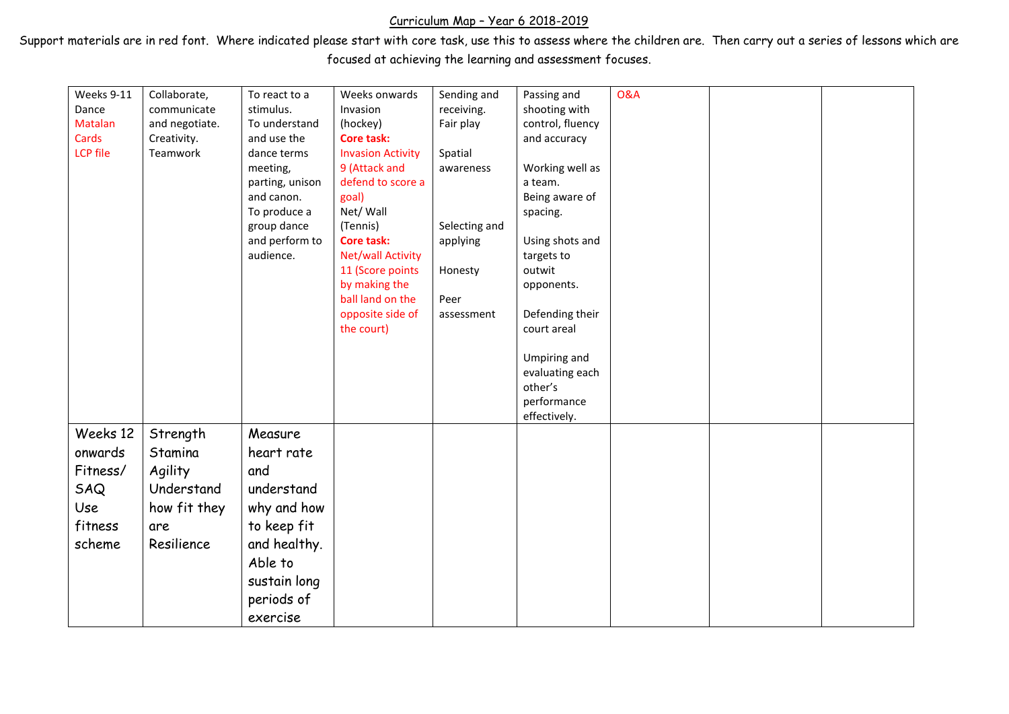## Curriculum Map – Year 6 2018-2019

Support materials are in red font. Where indicated please start with core task, use this to assess where the children are. Then carry out a series of lessons which are focused at achieving the learning and assessment focuses.

| Weeks 9-11      | Collaborate,   | To react to a   | Weeks onwards            | Sending and   | Passing and      | <b>O&amp;A</b> |  |
|-----------------|----------------|-----------------|--------------------------|---------------|------------------|----------------|--|
| Dance           | communicate    | stimulus.       | Invasion                 | receiving.    | shooting with    |                |  |
| Matalan         | and negotiate. | To understand   | (hockey)                 | Fair play     | control, fluency |                |  |
| Cards           | Creativity.    | and use the     | <b>Core task:</b>        |               | and accuracy     |                |  |
| <b>LCP</b> file | Teamwork       | dance terms     | <b>Invasion Activity</b> | Spatial       |                  |                |  |
|                 |                | meeting,        | 9 (Attack and            | awareness     | Working well as  |                |  |
|                 |                | parting, unison | defend to score a        |               | a team.          |                |  |
|                 |                | and canon.      | goal)                    |               | Being aware of   |                |  |
|                 |                | To produce a    | Net/ Wall                |               | spacing.         |                |  |
|                 |                | group dance     | (Tennis)                 | Selecting and |                  |                |  |
|                 |                | and perform to  | Core task:               | applying      | Using shots and  |                |  |
|                 |                | audience.       | <b>Net/wall Activity</b> |               | targets to       |                |  |
|                 |                |                 | 11 (Score points         | Honesty       | outwit           |                |  |
|                 |                |                 | by making the            |               | opponents.       |                |  |
|                 |                |                 | ball land on the         | Peer          |                  |                |  |
|                 |                |                 | opposite side of         | assessment    | Defending their  |                |  |
|                 |                |                 | the court)               |               | court areal      |                |  |
|                 |                |                 |                          |               |                  |                |  |
|                 |                |                 |                          |               | Umpiring and     |                |  |
|                 |                |                 |                          |               | evaluating each  |                |  |
|                 |                |                 |                          |               | other's          |                |  |
|                 |                |                 |                          |               | performance      |                |  |
|                 |                |                 |                          |               | effectively.     |                |  |
| Weeks 12        | Strength       | Measure         |                          |               |                  |                |  |
| onwards         | Stamina        | heart rate      |                          |               |                  |                |  |
| Fitness/        | Agility        | and             |                          |               |                  |                |  |
| SAQ             | Understand     | understand      |                          |               |                  |                |  |
|                 |                |                 |                          |               |                  |                |  |
| Use             | how fit they   | why and how     |                          |               |                  |                |  |
| fitness         | are            | to keep fit     |                          |               |                  |                |  |
| scheme          | Resilience     | and healthy.    |                          |               |                  |                |  |
|                 |                | Able to         |                          |               |                  |                |  |
|                 |                |                 |                          |               |                  |                |  |
|                 |                | sustain long    |                          |               |                  |                |  |
|                 |                | periods of      |                          |               |                  |                |  |
|                 |                | exercise        |                          |               |                  |                |  |